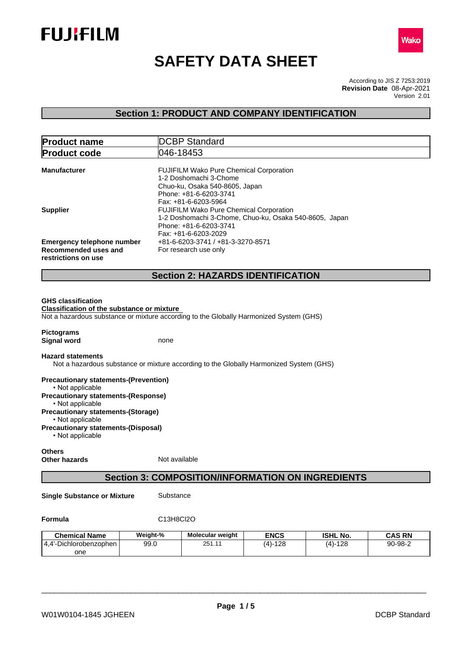



# **SAFETY DATA SHEET**

According to JIS Z 7253:2019 Version 2.01 **Revision Date** 08-Apr-2021

# **Section 1: PRODUCT AND COMPANY IDENTIFICATION**

| <b>Product code</b>                                                                                                                                                                                          | 046-18453                                                                                                                                             |
|--------------------------------------------------------------------------------------------------------------------------------------------------------------------------------------------------------------|-------------------------------------------------------------------------------------------------------------------------------------------------------|
| <b>Manufacturer</b>                                                                                                                                                                                          | FUJIFILM Wako Pure Chemical Corporation<br>1-2 Doshomachi 3-Chome<br>Chuo-ku, Osaka 540-8605, Japan<br>Phone: +81-6-6203-3741<br>Fax: +81-6-6203-5964 |
| <b>Supplier</b>                                                                                                                                                                                              | FUJIFILM Wako Pure Chemical Corporation<br>1-2 Doshomachi 3-Chome, Chuo-ku, Osaka 540-8605, Japan<br>Phone: +81-6-6203-3741<br>Fax: +81-6-6203-2029   |
| <b>Emergency telephone number</b>                                                                                                                                                                            | +81-6-6203-3741 / +81-3-3270-8571                                                                                                                     |
| Recommended uses and                                                                                                                                                                                         | For research use only                                                                                                                                 |
| restrictions on use                                                                                                                                                                                          |                                                                                                                                                       |
|                                                                                                                                                                                                              | <b>Section 2: HAZARDS IDENTIFICATION</b>                                                                                                              |
|                                                                                                                                                                                                              |                                                                                                                                                       |
| <b>GHS classification</b><br>Classification of the substance or mixture                                                                                                                                      |                                                                                                                                                       |
|                                                                                                                                                                                                              | Not a hazardous substance or mixture according to the Globally Harmonized System (GHS)                                                                |
| <b>Signal word</b>                                                                                                                                                                                           | none                                                                                                                                                  |
|                                                                                                                                                                                                              | Not a hazardous substance or mixture according to the Globally Harmonized System (GHS)                                                                |
|                                                                                                                                                                                                              |                                                                                                                                                       |
| • Not applicable<br>• Not applicable                                                                                                                                                                         |                                                                                                                                                       |
| <b>Pictograms</b><br><b>Hazard statements</b><br><b>Precautionary statements-(Prevention)</b><br><b>Precautionary statements-(Response)</b><br><b>Precautionary statements-(Storage)</b><br>• Not applicable |                                                                                                                                                       |

**Others Other hazards** Not available

# **Section 3: COMPOSITION/INFORMATION ON INGREDIENTS**

**Single Substance or Mixture** Substance

**Formula** C13H8Cl2O

| <b>Chemical Name</b>   | Weight-% | <b>Molecular weight</b> | <b>ENCS</b> | <b>ISHL No.</b> | <b>CAS RN</b> |
|------------------------|----------|-------------------------|-------------|-----------------|---------------|
| 4.4'-Dichlorobenzophen | 99.0     | 25111<br>، ت ے          | $(4)-128$   | $(4)-128$       | 90-98-2       |
| one                    |          |                         |             |                 |               |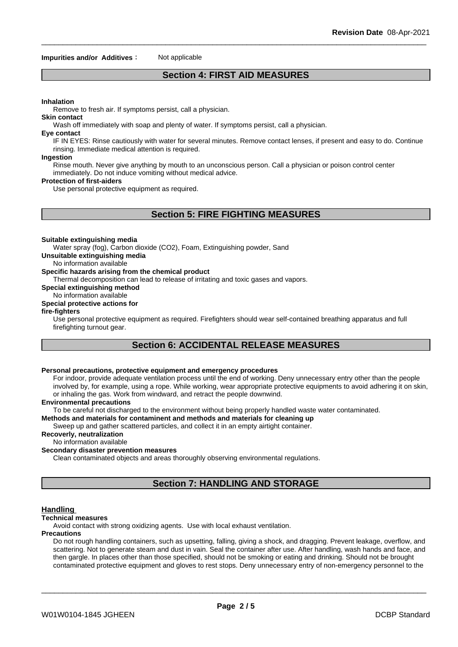#### **Impurities and/or Additives** : Not applicable

# **Section 4: FIRST AID MEASURES**

### **Inhalation**

Remove to fresh air. If symptoms persist, call a physician.

**Skin contact**

Wash off immediately with soap and plenty of water. If symptoms persist, call a physician.

#### **Eye contact**

IF IN EYES: Rinse cautiously with water for several minutes. Remove contact lenses, if present and easy to do. Continue rinsing. Immediate medical attention is required.

#### **Ingestion**

Rinse mouth. Never give anything by mouth to an unconscious person. Call a physician or poison control center immediately. Do not induce vomiting without medical advice.

#### **Protection of first-aiders**

Use personal protective equipment as required.

# **Section 5: FIRE FIGHTING MEASURES**

#### **Suitable extinguishing media**

Water spray (fog), Carbon dioxide (CO2), Foam, Extinguishing powder, Sand

**Unsuitable extinguishing media**

### No information available

### **Specific hazards arising from the chemical product**

Thermal decomposition can lead to release of irritating and toxic gases and vapors.

### **Special extinguishing method**

# No information available

# **Special protective actions for**

#### **fire-fighters**

Use personal protective equipment as required.Firefighters should wear self-contained breathing apparatus and full firefighting turnout gear.

# **Section 6: ACCIDENTAL RELEASE MEASURES**

#### **Personal precautions, protective equipment and emergency procedures**

For indoor, provide adequate ventilation process until the end of working. Deny unnecessary entry other than the people involved by, for example, using a rope. While working, wear appropriate protective equipments to avoid adhering it on skin, or inhaling the gas. Work from windward, and retract the people downwind.

#### **Environmental precautions**

To be careful not discharged to the environment without being properly handled waste water contaminated.

# **Methods and materials for contaminent and methods and materials for cleaning up**

Sweep up and gather scattered particles, and collect it in an empty airtight container.

# **Recoverly, neutralization**

#### No information available

### **Secondary disaster prevention measures**

Clean contaminated objects and areas thoroughly observing environmental regulations.

# **Section 7: HANDLING AND STORAGE**

#### **Handling**

#### **Technical measures**

Avoid contact with strong oxidizing agents. Use with local exhaust ventilation.

#### **Precautions**

Do not rough handling containers, such as upsetting, falling, giving a shock, and dragging. Prevent leakage, overflow, and scattering. Not to generate steam and dust in vain. Seal the container after use. After handling, wash hands and face, and then gargle. In places other than those specified, should not be smoking or eating and drinking. Should not be brought contaminated protective equipment and gloves to rest stops. Deny unnecessary entry of non-emergency personnel to the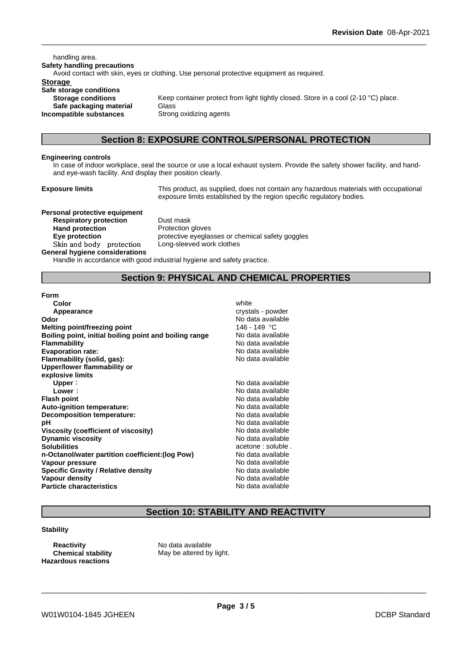handling area. **Safety handling precautions** Avoid contact with skin, eyes or clothing. Use personal protective equipment as required.**Storage Safe storage conditions Storage conditions** Keep container protect from light tightly closed. Store in a cool (2-10 °C) place. **Safe packaging material** Glass **Incompatible substances** Strong oxidizing agents

# **Section 8: EXPOSURE CONTROLS/PERSONAL PROTECTION**

#### **Engineering controls**

In case of indoor workplace, seal the source or use a local exhaust system. Provide the safety shower facility, and handand eye-wash facility. And display their position clearly.

**Exposure limits** This product, as supplied, does not contain any hazardous materials with occupational exposure limits established by the region specific regulatory bodies.

**Personal protective equipment Respiratory protection** Dust mask **Hand protection** Protection gloves **Skinandbody protection** Long-sleeved work clothes **General hygiene considerations**

**Eye protection** protective eyeglasses or chemical safety goggles

Handle in accordance with good industrial hygiene and safety practice.

# **Section 9: PHYSICAL AND CHEMICAL PROPERTIES**

**Form**

| Color                                                  | white              |
|--------------------------------------------------------|--------------------|
| Appearance                                             | crystals - powder  |
| Odor                                                   | No data available  |
| Melting point/freezing point                           | 146 - 149 °C       |
| Boiling point, initial boiling point and boiling range | No data available  |
| <b>Flammability</b>                                    | No data available  |
| <b>Evaporation rate:</b>                               | No data available  |
| Flammability (solid, gas):                             | No data available  |
| Upper/lower flammability or                            |                    |
| explosive limits                                       |                    |
| Upper:                                                 | No data available  |
| Lower:                                                 | No data available  |
| <b>Flash point</b>                                     | No data available  |
| Auto-ignition temperature:                             | No data available  |
| Decomposition temperature:                             | No data available  |
| рH                                                     | No data available  |
| Viscosity (coefficient of viscosity)                   | No data available  |
| <b>Dynamic viscosity</b>                               | No data available  |
| <b>Solubilities</b>                                    | acetone : soluble. |
| n-Octanol/water partition coefficient: (log Pow)       | No data available  |
| Vapour pressure                                        | No data available  |
| <b>Specific Gravity / Relative density</b>             | No data available  |
| <b>Vapour density</b>                                  | No data available  |
| <b>Particle characteristics</b>                        | No data available  |
|                                                        |                    |

# **Section 10: STABILITY AND REACTIVITY**

#### **Stability**

**Reactivity** No data available **Hazardous reactions**

**Chemical stability** May be altered by light.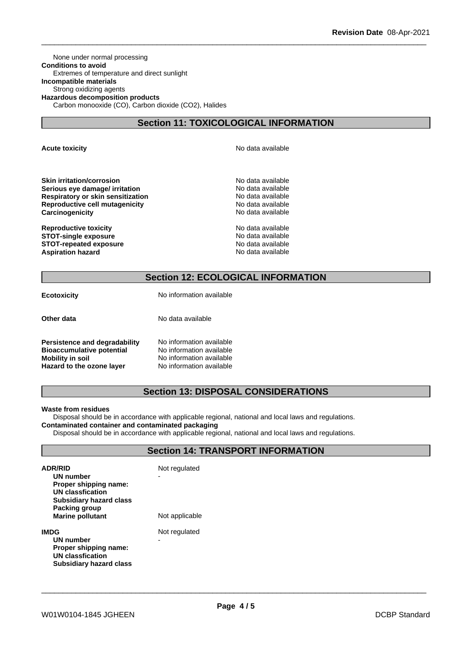None under normal processing **Conditions to avoid** Extremes of temperature and direct sunlight **Incompatible materials** Strong oxidizing agents **Hazardous decomposition products** Carbon monooxide (CO), Carbon dioxide (CO2), Halides

# **Section 11: TOXICOLOGICAL INFORMATION**

**Acute toxicity Acute toxicity Acute has a structure in the structure of**  $\mathbb{R}^n$  **No data available** 

**Skin irritation/corrosion**<br> **Serious eve damage/ irritation**<br> **Serious eve damage/ irritation Serious eye damage/ irritation Respiratory or skin sensitization** No data available **Reproductive cell mutagenicity**<br> **Carcinogenicity**<br> **Carcinogenicity**<br> **Carcinogenicity Carcinogenicity** 

**Reproductive toxicity No data available** No data available **STOT-single exposure** No data available **STOT-repeated exposure** No data available **Aspiration hazard No data available No data available No data available** 

# **Section 12: ECOLOGICAL INFORMATION**

|  | ECOTOXICITY |  |
|--|-------------|--|
|  |             |  |

**Example 20 Archarge Contract Contract Contract Contract Contract Contract Contract Contract Contract Contract Contract Contract Contract Contract Contract Contract Contract Contract Contract Contract Contract Contract Con** 

**Other data** No data available

**Persistence and degradability** No information available<br>**Bioaccumulative potential** No information available **Bioaccumulative potential<br>Mobility in soil Mobility in soil** No information available **Hazard to the ozone layer** No information available

# **Section 13: DISPOSAL CONSIDERATIONS**

#### **Waste from residues**

Disposal should be in accordance with applicable regional, national and local laws and regulations. **Contaminated container and contaminated packaging**

Disposal should be in accordance with applicable regional, national and local laws and regulations.

# **Section 14: TRANSPORT INFORMATION**

| <b>ADR/RID</b><br>UN number<br>Proper shipping name:<br>UN classfication<br><b>Subsidiary hazard class</b><br>Packing group<br><b>Marine pollutant</b> | Not regulated<br>Not applicable |
|--------------------------------------------------------------------------------------------------------------------------------------------------------|---------------------------------|
| IMDG<br>UN number<br>Proper shipping name:<br>UN classfication<br>Subsidiary hazard class                                                              | Not regulated<br>-              |